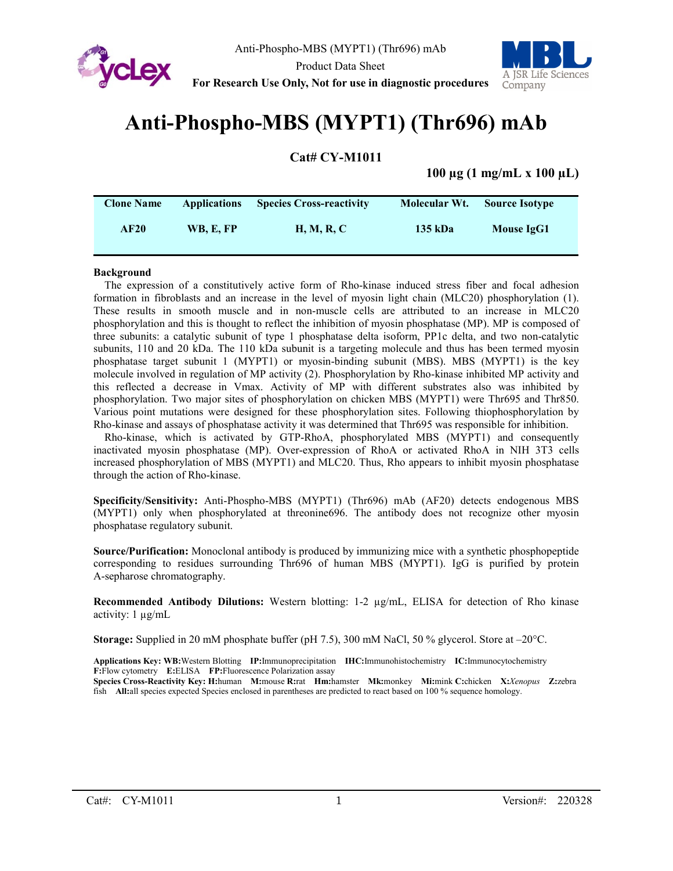



# **For Research Use Only, Not for use in diagnostic procedures**

# **Anti-Phospho-MBS (MYPT1) (Thr696) mAb**

**Cat# CY-M1011**

**100 µg (1 mg/mL x 100 µL)**

| <b>Clone Name</b> | <b>Applications</b> | <b>Species Cross-reactivity</b> | Molecular Wt. | <b>Source Isotype</b> |  |
|-------------------|---------------------|---------------------------------|---------------|-----------------------|--|
| AF20              | <b>WB. E. FP</b>    | <b>H, M, R, C</b>               | 135 kDa       | Mouse IgG1            |  |

#### **Background**

The expression of a constitutively active form of Rho-kinase induced stress fiber and focal adhesion formation in fibroblasts and an increase in the level of myosin light chain (MLC20) phosphorylation (1). These results in smooth muscle and in non-muscle cells are attributed to an increase in MLC20 phosphorylation and this is thought to reflect the inhibition of myosin phosphatase (MP). MP is composed of three subunits: a catalytic subunit of type 1 phosphatase delta isoform, PP1c delta, and two non-catalytic subunits, 110 and 20 kDa. The 110 kDa subunit is a targeting molecule and thus has been termed myosin phosphatase target subunit 1 (MYPT1) or myosin-binding subunit (MBS). MBS (MYPT1) is the key molecule involved in regulation of MP activity (2). Phosphorylation by Rho-kinase inhibited MP activity and this reflected a decrease in Vmax. Activity of MP with different substrates also was inhibited by phosphorylation. Two major sites of phosphorylation on chicken MBS (MYPT1) were Thr695 and Thr850. Various point mutations were designed for these phosphorylation sites. Following thiophosphorylation by Rho-kinase and assays of phosphatase activity it was determined that Thr695 was responsible for inhibition.

Rho-kinase, which is activated by GTP-RhoA, phosphorylated MBS (MYPT1) and consequently inactivated myosin phosphatase (MP). Over-expression of RhoA or activated RhoA in NIH 3T3 cells increased phosphorylation of MBS (MYPT1) and MLC20. Thus, Rho appears to inhibit myosin phosphatase through the action of Rho-kinase.

**Specificity/Sensitivity:** Anti-Phospho-MBS (MYPT1) (Thr696) mAb (AF20) detects endogenous MBS (MYPT1) only when phosphorylated at threonine696. The antibody does not recognize other myosin phosphatase regulatory subunit.

**Source/Purification:** Monoclonal antibody is produced by immunizing mice with a synthetic phosphopeptide corresponding to residues surrounding Thr696 of human MBS (MYPT1). IgG is purified by protein A-sepharose chromatography.

**Recommended Antibody Dilutions:** Western blotting: 1-2 µg/mL, ELISA for detection of Rho kinase activity: 1 µg/mL

**Storage:** Supplied in 20 mM phosphate buffer (pH 7.5), 300 mM NaCl, 50 % glycerol. Store at –20°C.

**Applications Key: WB:**Western Blotting **IP:**Immunoprecipitation **IHC:**Immunohistochemistry **IC:**Immunocytochemistry **F:**Flow cytometry **E:**ELISA **FP:**Fluorescence Polarization assay

**Species Cross-Reactivity Key: H:**human **M:**mouse **R:**rat **Hm:**hamster **Mk:**monkey **Mi:**mink **C:**chicken **X:***Xenopus* **Z:**zebra fish **All:**all species expected Species enclosed in parentheses are predicted to react based on 100 % sequence homology.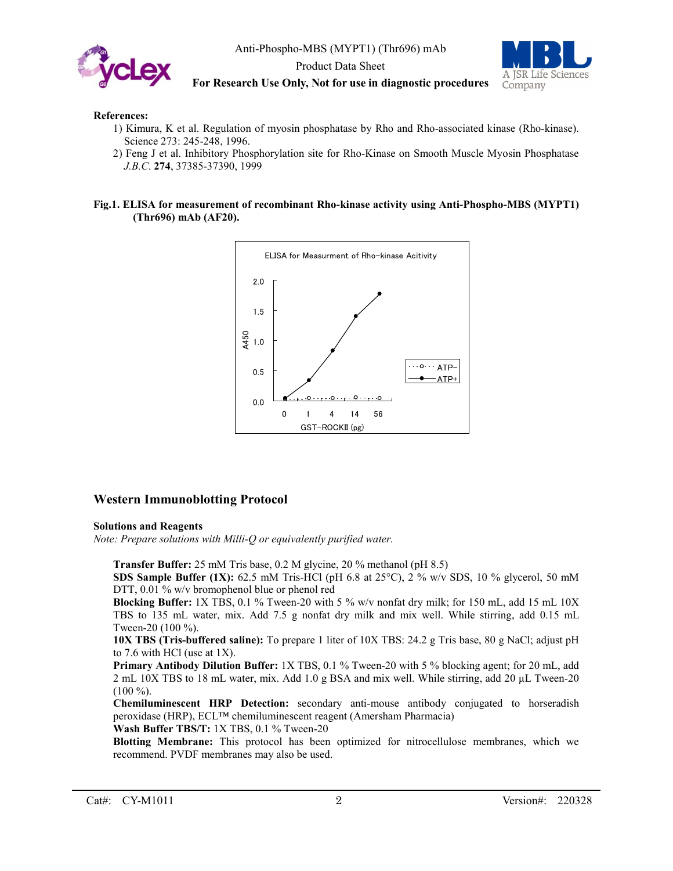

Anti-Phospho-MBS (MYPT1) (Thr696) mAb

Product Data Sheet



**For Research Use Only, Not for use in diagnostic procedures**

#### **References:**

- 1) Kimura, K et al. Regulation of myosin phosphatase by Rho and Rho-associated kinase (Rho-kinase). Science 273: 245-248, 1996.
- 2) Feng J et al. Inhibitory Phosphorylation site for Rho-Kinase on Smooth Muscle Myosin Phosphatase *J.B.C*. **274**, 37385-37390, 1999

#### **Fig.1. ELISA for measurement of recombinant Rho-kinase activity using Anti-Phospho-MBS (MYPT1) (Thr696) mAb (AF20).**



## **Western Immunoblotting Protocol**

#### **Solutions and Reagents**

*Note: Prepare solutions with Milli-Q or equivalently purified water.*

**Transfer Buffer:** 25 mM Tris base, 0.2 M glycine, 20 % methanol (pH 8.5)

**SDS Sample Buffer (1X):** 62.5 mM Tris-HCl (pH 6.8 at 25°C), 2 % w/v SDS, 10 % glycerol, 50 mM DTT, 0.01 % w/v bromophenol blue or phenol red

**Blocking Buffer:** 1X TBS, 0.1 % Tween-20 with 5 % w/v nonfat dry milk; for 150 mL, add 15 mL 10X TBS to 135 mL water, mix. Add 7.5 g nonfat dry milk and mix well. While stirring, add 0.15 mL Tween-20 (100 %).

**10X TBS (Tris-buffered saline):** To prepare 1 liter of 10X TBS: 24.2 g Tris base, 80 g NaCl; adjust pH to 7.6 with HCl (use at 1X).

**Primary Antibody Dilution Buffer:** 1X TBS, 0.1 % Tween-20 with 5 % blocking agent; for 20 mL, add 2 mL 10X TBS to 18 mL water, mix. Add 1.0 g BSA and mix well. While stirring, add 20 µL Tween-20  $(100\%).$ 

**Chemiluminescent HRP Detection:** secondary anti-mouse antibody conjugated to horseradish peroxidase (HRP), ECL™ chemiluminescent reagent (Amersham Pharmacia)

**Wash Buffer TBS/T:** 1X TBS, 0.1 % Tween-20

**Blotting Membrane:** This protocol has been optimized for nitrocellulose membranes, which we recommend. PVDF membranes may also be used.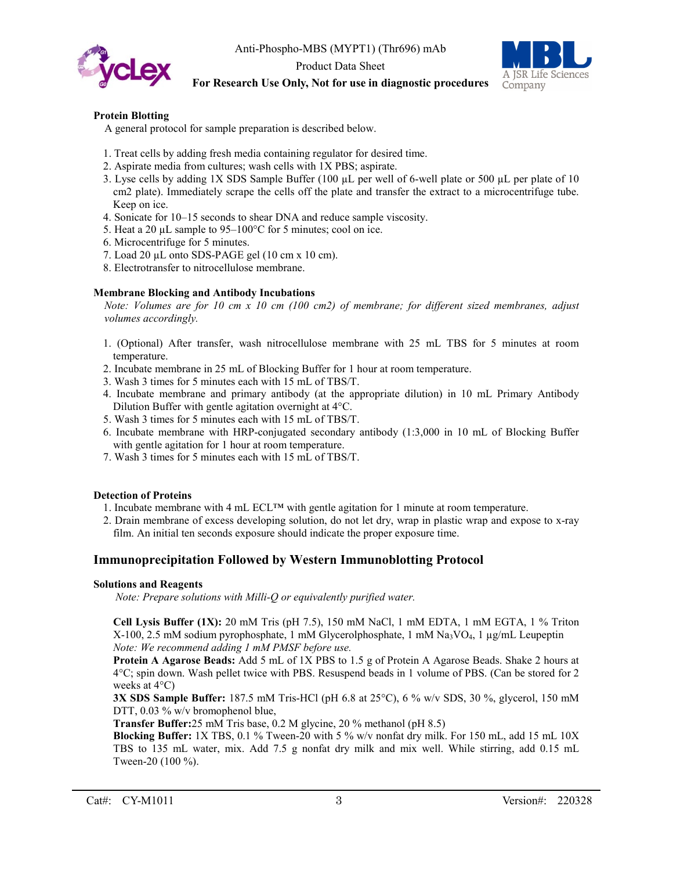

Anti-Phospho-MBS (MYPT1) (Thr696) mAb

Product Data Sheet



## **For Research Use Only, Not for use in diagnostic procedures**

#### **Protein Blotting**

A general protocol for sample preparation is described below.

- 1. Treat cells by adding fresh media containing regulator for desired time.
- 2. Aspirate media from cultures; wash cells with 1X PBS; aspirate.
- 3. Lyse cells by adding 1X SDS Sample Buffer (100 µL per well of 6-well plate or 500 µL per plate of 10 cm2 plate). Immediately scrape the cells off the plate and transfer the extract to a microcentrifuge tube. Keep on ice.
- 4. Sonicate for 10–15 seconds to shear DNA and reduce sample viscosity.
- 5. Heat a 20  $\mu$ L sample to 95–100°C for 5 minutes; cool on ice.
- 6. Microcentrifuge for 5 minutes.
- 7. Load 20 µL onto SDS-PAGE gel (10 cm x 10 cm).
- 8. Electrotransfer to nitrocellulose membrane.

#### **Membrane Blocking and Antibody Incubations**

*Note: Volumes are for 10 cm x 10 cm (100 cm2) of membrane; for different sized membranes, adjust volumes accordingly.*

- 1. (Optional) After transfer, wash nitrocellulose membrane with 25 mL TBS for 5 minutes at room temperature.
- 2. Incubate membrane in 25 mL of Blocking Buffer for 1 hour at room temperature.
- 3. Wash 3 times for 5 minutes each with 15 mL of TBS/T.
- 4. Incubate membrane and primary antibody (at the appropriate dilution) in 10 mL Primary Antibody Dilution Buffer with gentle agitation overnight at 4°C.
- 5. Wash 3 times for 5 minutes each with 15 mL of TBS/T.
- 6. Incubate membrane with HRP-conjugated secondary antibody (1:3,000 in 10 mL of Blocking Buffer with gentle agitation for 1 hour at room temperature.
- 7. Wash 3 times for 5 minutes each with 15 mL of TBS/T.

#### **Detection of Proteins**

- 1. Incubate membrane with 4 mL ECL<sup>™</sup> with gentle agitation for 1 minute at room temperature.
- 2. Drain membrane of excess developing solution, do not let dry, wrap in plastic wrap and expose to x-ray film. An initial ten seconds exposure should indicate the proper exposure time.

## **Immunoprecipitation Followed by Western Immunoblotting Protocol**

#### **Solutions and Reagents**

*Note: Prepare solutions with Milli-Q or equivalently purified water.*

**Cell Lysis Buffer (1X):** 20 mM Tris (pH 7.5), 150 mM NaCl, 1 mM EDTA, 1 mM EGTA, 1 % Triton X-100, 2.5 mM sodium pyrophosphate, 1 mM Glycerolphosphate, 1 mM Na3VO4, 1 µg/mL Leupeptin *Note: We recommend adding 1 mM PMSF before use.*

**Protein A Agarose Beads:** Add 5 mL of 1X PBS to 1.5 g of Protein A Agarose Beads. Shake 2 hours at 4°C; spin down. Wash pellet twice with PBS. Resuspend beads in 1 volume of PBS. (Can be stored for 2 weeks at 4°C)

**3X SDS Sample Buffer:** 187.5 mM Tris-HCl (pH 6.8 at 25°C), 6 % w/v SDS, 30 %, glycerol, 150 mM DTT, 0.03 % w/v bromophenol blue,

**Transfer Buffer:**25 mM Tris base, 0.2 M glycine, 20 % methanol (pH 8.5)

**Blocking Buffer:** 1X TBS, 0.1 % Tween-20 with 5 % w/v nonfat dry milk. For 150 mL, add 15 mL 10X TBS to 135 mL water, mix. Add 7.5 g nonfat dry milk and mix well. While stirring, add 0.15 mL Tween-20 (100 %).